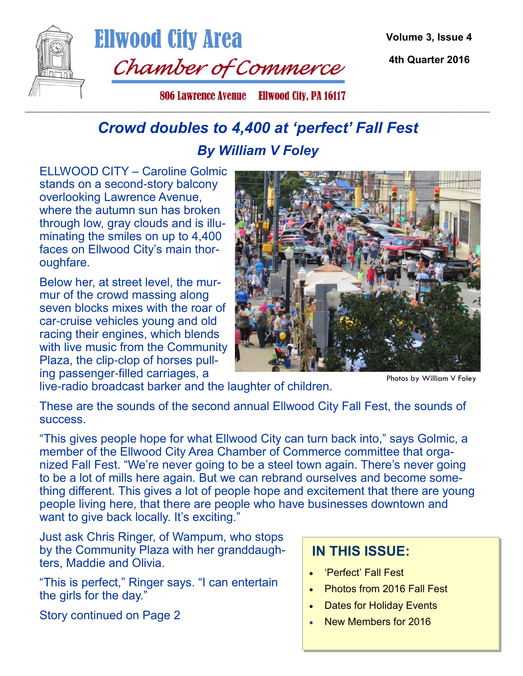

**Ellwood City Area** Chamber of Commerce

**Volume 3, Issue 4**

**4th Quarter 2016**

806 Lawrence Avenue Ellwood City, PA 16117 \_\_\_\_\_\_\_\_\_\_\_\_\_\_\_\_\_\_\_\_\_\_\_\_\_\_\_\_\_\_\_\_\_\_\_\_\_\_\_\_\_\_\_\_\_\_\_\_\_\_\_\_\_\_\_\_\_\_\_\_\_\_\_\_\_\_\_\_\_\_\_\_\_\_\_\_\_\_\_\_\_\_\_\_\_\_\_\_\_\_\_\_\_\_\_\_\_\_\_\_\_\_\_\_\_\_\_\_\_

## *Crowd doubles to 4,400 at 'perfect' Fall Fest By William V Foley*

ELLWOOD CITY – Caroline Golmic stands on a second-story balcony overlooking Lawrence Avenue, where the autumn sun has broken through low, gray clouds and is illuminating the smiles on up to 4,400 faces on Ellwood City's main thoroughfare.

Below her, at street level, the murmur of the crowd massing along seven blocks mixes with the roar of car-cruise vehicles young and old racing their engines, which blends with live music from the Community Plaza, the clip-clop of horses pulling passenger-filled carriages, a



Photos by William V Foley

live-radio broadcast barker and the laughter of children.

These are the sounds of the second annual Ellwood City Fall Fest, the sounds of success.

"This gives people hope for what Ellwood City can turn back into," says Golmic, a member of the Ellwood City Area Chamber of Commerce committee that organized Fall Fest. "We're never going to be a steel town again. There's never going to be a lot of mills here again. But we can rebrand ourselves and become something different. This gives a lot of people hope and excitement that there are young people living here, that there are people who have businesses downtown and want to give back locally. It's exciting."

Just ask Chris Ringer, of Wampum, who stops by the Community Plaza with her granddaughters, Maddie and Olivia.

"This is perfect," Ringer says. "I can entertain the girls for the day."

Story continued on Page 2

## **IN THIS ISSUE:**

- 'Perfect' Fall Fest
- Photos from 2016 Fall Fest
- **Dates for Holiday Events**
- New Members for 2016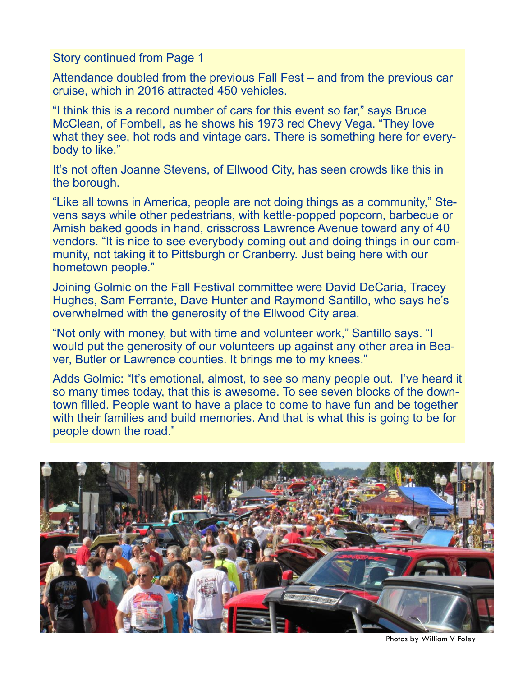Story continued from Page 1

Attendance doubled from the previous Fall Fest – and from the previous car cruise, which in 2016 attracted 450 vehicles.

"I think this is a record number of cars for this event so far," says Bruce McClean, of Fombell, as he shows his 1973 red Chevy Vega. "They love what they see, hot rods and vintage cars. There is something here for everybody to like."

It's not often Joanne Stevens, of Ellwood City, has seen crowds like this in the borough.

"Like all towns in America, people are not doing things as a community," Stevens says while other pedestrians, with kettle-popped popcorn, barbecue or Amish baked goods in hand, crisscross Lawrence Avenue toward any of 40 vendors. "It is nice to see everybody coming out and doing things in our community, not taking it to Pittsburgh or Cranberry. Just being here with our hometown people."

Joining Golmic on the Fall Festival committee were David DeCaria, Tracey Hughes, Sam Ferrante, Dave Hunter and Raymond Santillo, who says he's overwhelmed with the generosity of the Ellwood City area.

"Not only with money, but with time and volunteer work," Santillo says. "I would put the generosity of our volunteers up against any other area in Beaver, Butler or Lawrence counties. It brings me to my knees."

Adds Golmic: "It's emotional, almost, to see so many people out. I've heard it so many times today, that this is awesome. To see seven blocks of the downtown filled. People want to have a place to come to have fun and be together with their families and build memories. And that is what this is going to be for people down the road."



Photos by William V Foley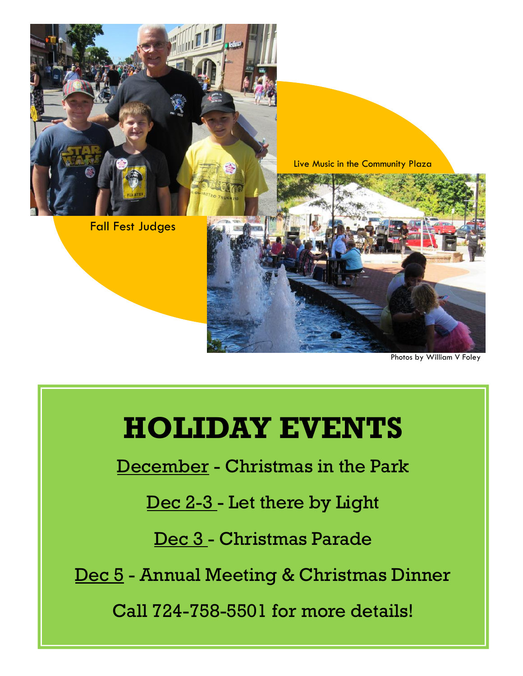

Photos by William V Foley

## **HOLIDAY EVENTS**

December - Christmas in the Park

Dec 2-3 - Let there by Light

Dec 3 - Christmas Parade

Dec 5 - Annual Meeting & Christmas Dinner

Call 724-758-5501 for more details!